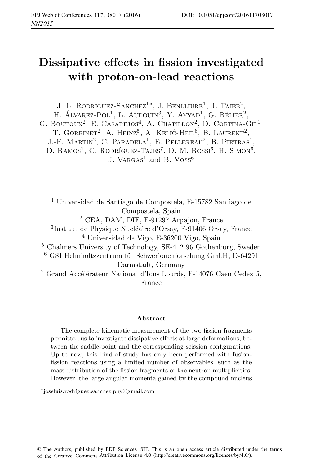# **Dissipative effects in fission investigated with proton-on-lead reactions**

J. L. RODRÍGUEZ-SÁNCHEZ<sup>1</sup><sup>\*</sup>, J. BENLLIURE<sup>1</sup>, J. TAÏEB<sup>2</sup>,

H. ALVAREZ-POL<sup>1</sup>, L. AUDOUIN<sup>3</sup>, Y. AYYAD<sup>1</sup>, G. BÉLIER<sup>2</sup>, G. BOUTOUX<sup>2</sup>, E. CASAREJOS<sup>4</sup>, A. CHATILLON<sup>2</sup>, D. CORTINA-GIL<sup>1</sup>, T. GORBINET<sup>2</sup>, A. HEINZ<sup>5</sup>, A. KELIĆ-HEIL<sup>6</sup>, B. LAURENT<sup>2</sup>. J.-F. MARTIN<sup>2</sup>, C. PARADELA<sup>1</sup>, E. PELLEREAU<sup>2</sup>, B. PIETRAS<sup>1</sup>, D. RAMOS<sup>1</sup>, C. RODRÍGUEZ-TAJES<sup>7</sup>, D. M. ROSSI<sup>6</sup>, H. SIMON<sup>6</sup>, J. VARGAS<sup>1</sup> and B. VOSS<sup>6</sup>

<sup>1</sup> Universidad de Santiago de Compostela, E-15782 Santiago de Compostela, Spain <sup>2</sup> CEA, DAM, DIF, F-91297 Arpajon, France <sup>3</sup>Institut de Physique Nucléaire d'Orsay, F-91406 Orsay, France <sup>4</sup> Universidad de Vigo, E-36200 Vigo, Spain <sup>5</sup> Chalmers University of Technology, SE-412 96 Gothenburg, Sweden  $6$  GSI Helmholtzzentrum für Schwerionenforschung GmbH, D-64291 Darmstadt, Germany  $^7$ Grand Accélérateur National d'Ions Lourds, F-14076 Caen Cedex 5, France

#### **Abstract**

The complete kinematic measurement of the two fission fragments permitted us to investigate dissipative effects at large deformations, between the saddle-point and the corresponding scission configurations. Up to now, this kind of study has only been performed with fusionfission reactions using a limited number of observables, such as the mass distribution of the fission fragments or the neutron multiplicities. However, the large angular momenta gained by the compound nucleus

<sup>∗</sup>joseluis.rodriguez.sanchez.phy@gmail.com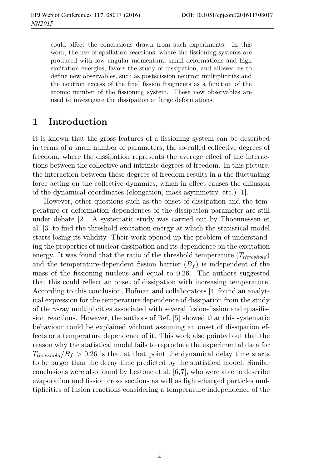could affect the conclusions drawn from such experiments. In this work, the use of spallation reactions, where the fissioning systems are produced with low angular momentum, small deformations and high excitation energies, favors the study of dissipation, and allowed us to define new observables, such as postscission neutron multiplicities and the neutron excess of the final fission fragments as a function of the atomic number of the fissioning system. These new observables are used to investigate the dissipation at large deformations.

# **1 Introduction**

It is known that the gross features of a fissioning system can be described in terms of a small number of parameters, the so-called collective degrees of freedom, where the dissipation represents the average effect of the interactions between the collective and intrinsic degrees of freedom. In this picture, the interaction between these degrees of freedom results in a the fluctuating force acting on the collective dynamics, which in effect causes the diffusion of the dynamical coordinates (elongation, mass asymmetry, etc.) [1].

However, other questions such as the onset of dissipation and the temperature or deformation dependences of the dissipation parameter are still under debate [2]. A systematic study was carried out by Thoennessen et al. [3] to find the threshold excitation energy at which the statistical model starts losing its validity. Their work opened up the problem of understanding the properties of nuclear dissipation and its dependence on the excitation energy. It was found that the ratio of the threshold temperature (T*threshold*) and the temperature-dependent fission barrier  $(B_f)$  is independent of the mass of the fissioning nucleus and equal to 0.26. The authors suggested that this could reflect an onset of dissipation with increasing temperature. According to this conclusion, Hofman and collaborators [4] found an analytical expression for the temperature dependence of dissipation from the study of the  $\gamma$ -ray multiplicities associated with several fusion-fission and quasifission reactions. However, the authors of Ref. [5] showed that this systematic behaviour could be explained without assuming an onset of dissipation effects or a temperature dependence of it. This work also pointed out that the reason why the statistical model fails to reproduce the experimental data for  $T_{threshold}/B_f > 0.26$  is that at that point the dynamical delay time starts to be larger than the decay time predicted by the statistical model. Similar conclusions were also found by Lestone et al. [6,7], who were able to describe evaporation and fission cross sections as well as light-charged particles multiplicities of fusion reactions considering a temperature independence of the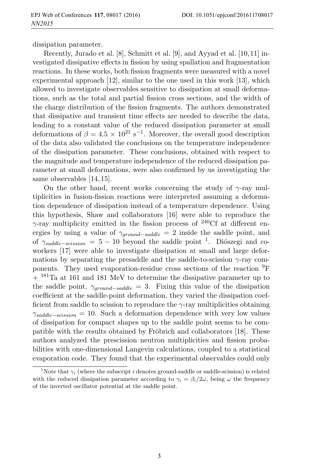dissipation parameter.

Recently, Jurado et al. [8], Schmitt et al. [9], and Ayyad et al. [10,11] investigated dissipative effects in fission by using spallation and fragmentation reactions. In these works, both fission fragments were measured with a novel experimental approach [12], similar to the one used in this work [13], which allowed to investigate observables sensitive to dissipation at small deformations, such as the total and partial fission cross sections, and the width of the charge distribution of the fission fragments. The authors demonstrated that dissipative and transient time effects are needed to describe the data, leading to a constant value of the reduced dissipation parameter at small deformations of  $\beta = 4.5 \times 10^{21} \text{ s}^{-1}$ . Moreover, the overall good description of the data also validated the conclusions on the temperature independence of the dissipation parameter. These conclusions, obtained with respect to the magnitude and temperature independence of the reduced dissipation parameter at small deformations, were also confirmed by us investigating the same observables [14, 15].

On the other hand, recent works concerning the study of  $\gamma$ -ray multiplicities in fusion-fission reactions were interpreted assuming a deformation dependence of dissipation instead of a temperature dependence. Using this hypothesis, Shaw and collaborators [16] were able to reproduce the  $\gamma$ -ray multiplicity emitted in the fission process of <sup>240</sup>Cf at different energies by using a value of  $\gamma_{ground-saddle} = 2$  inside the saddle point, and of  $\gamma_{saddle-scission} = 5 - 10$  beyond the saddle point <sup>1</sup>. Diószegi and coworkers [17] were able to investigate dissipation at small and large deformations by separating the presaddle and the saddle-to-scission  $\gamma$ -ray components. They used evaporation-residue cross sections of the reaction  ${}^{9}F$  $+$   $\mathrm{^{181}Ta}$  at 161 and 181 MeV to determine the dissipative parameter up to the saddle point,  $\gamma_{ground-saddle} = 3$ . Fixing this value of the dissipation coefficient at the saddle-point deformation, they varied the dissipation coefficient from saddle to scission to reproduce the  $\gamma$ -ray multiplicities obtaining γ*saddle*−*scission* = 10. Such a deformation dependence with very low values of dissipation for compact shapes up to the saddle point seems to be compatible with the results obtained by Fröbrich and collaborators [18]. These authors analyzed the prescission neutron multiplicities and fission probabilities with one-dimensional Langevin calculations, coupled to a statistical evaporation code. They found that the experimental observables could only

<sup>&</sup>lt;sup>1</sup>Note that  $\gamma_i$  (where the subscript i denotes ground-saddle or saddle-scission) is related with the reduced dissipation parameter according to  $\gamma_i = \beta_i/2\omega$ , being  $\omega$  the frequency of the inverted oscillator potential at the saddle point.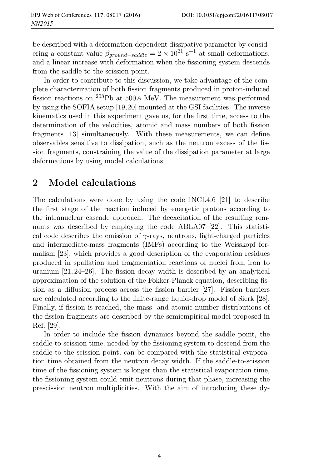be described with a deformation-dependent dissipative parameter by considering a constant value  $\beta_{ground-saddle} = 2 \times 10^{21} \text{ s}^{-1}$  at small deformations, and a linear increase with deformation when the fissioning system descends from the saddle to the scission point.

In order to contribute to this discussion, we take advantage of the complete characterization of both fission fragments produced in proton-induced fission reactions on <sup>208</sup>Pb at 500A MeV. The measurement was performed by using the SOFIA setup [19,20] mounted at the GSI facilities. The inverse kinematics used in this experiment gave us, for the first time, access to the determination of the velocities, atomic and mass numbers of both fission fragments [13] simultaneously. With these measurements, we can define observables sensitive to dissipation, such as the neutron excess of the fission fragments, constraining the value of the dissipation parameter at large deformations by using model calculations.

# **2 Model calculations**

The calculations were done by using the code INCL4.6 [21] to describe the first stage of the reaction induced by energetic protons according to the intranuclear cascade approach. The deexcitation of the resulting remnants was described by employing the code ABLA07 [22]. This statistical code describes the emission of  $\gamma$ -rays, neutrons, light-charged particles and intermediate-mass fragments (IMFs) according to the Weisskopf formalism [23], which provides a good description of the evaporation residues produced in spallation and fragmentation reactions of nuclei from iron to uranium [21, 24–26]. The fission decay width is described by an analytical approximation of the solution of the Fokker-Planck equation, describing fission as a diffusion process across the fission barrier [27]. Fission barriers are calculated according to the finite-range liquid-drop model of Sierk [28]. Finally, if fission is reached, the mass- and atomic-number distributions of the fission fragments are described by the semiempirical model proposed in Ref. [29].

In order to include the fission dynamics beyond the saddle point, the saddle-to-scission time, needed by the fissioning system to descend from the saddle to the scission point, can be compared with the statistical evaporation time obtained from the neutron decay width. If the saddle-to-scission time of the fissioning system is longer than the statistical evaporation time, the fissioning system could emit neutrons during that phase, increasing the prescission neutron multiplicities. With the aim of introducing these dy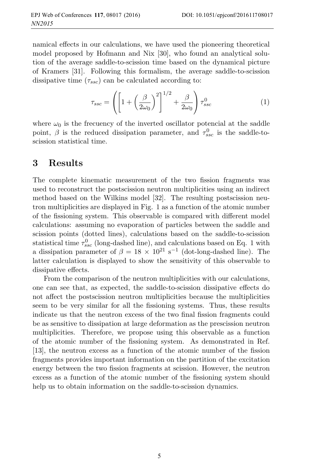namical effects in our calculations, we have used the pioneering theoretical model proposed by Hofmann and Nix [30], who found an analytical solution of the average saddle-to-scission time based on the dynamical picture of Kramers [31]. Following this formalism, the average saddle-to-scission dissipative time  $(\tau_{ssc})$  can be calculated according to:

$$
\tau_{ssc} = \left( \left[ 1 + \left( \frac{\beta}{2\omega_0} \right)^2 \right]^{1/2} + \frac{\beta}{2\omega_0} \right) \tau_{ssc}^0 \tag{1}
$$

where  $\omega_0$  is the frecuency of the inverted oscillator potencial at the saddle point,  $\beta$  is the reduced dissipation parameter, and  $\tau_{ssc}^0$  is the saddle-toscission statistical time.

#### **3 Results**

The complete kinematic measurement of the two fission fragments was used to reconstruct the postscission neutron multiplicities using an indirect method based on the Wilkins model [32]. The resulting postscission neutron multiplicities are displayed in Fig. 1 as a function of the atomic number of the fissioning system. This observable is compared with different model calculations: assuming no evaporation of particles between the saddle and scission points (dotted lines), calculations based on the saddle-to-scission statistical time  $\tau_{ssc}^0$  (long-dashed line), and calculations based on Eq. 1 with a dissipation parameter of  $\beta = 18 \times 10^{21} \text{ s}^{-1}$  (dot-long-dashed line). The latter calculation is displayed to show the sensitivity of this observable to dissipative effects.

From the comparison of the neutron multiplicities with our calculations, one can see that, as expected, the saddle-to-scission dissipative effects do not affect the postscission neutron multiplicities because the multiplicities seem to be very similar for all the fissioning systems. Thus, these results indicate us that the neutron excess of the two final fission fragments could be as sensitive to dissipation at large deformation as the prescission neutron multiplicities. Therefore, we propose using this observable as a function of the atomic number of the fissioning system. As demonstrated in Ref. [13], the neutron excess as a function of the atomic number of the fission fragments provides important information on the partition of the excitation energy between the two fission fragments at scission. However, the neutron excess as a function of the atomic number of the fissioning system should help us to obtain information on the saddle-to-scission dynamics.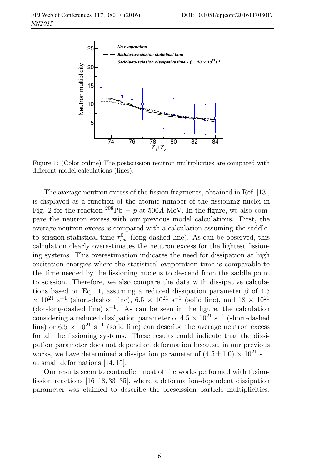

Figure 1: (Color online) The postscission neutron multiplicities are compared with different model calculations (lines).

The average neutron excess of the fission fragments, obtained in Ref. [13], is displayed as a function of the atomic number of the fissioning nuclei in Fig. 2 for the reaction  $^{208}Pb + p$  at 500A MeV. In the figure, we also compare the neutron excess with our previous model calculations. First, the average neutron excess is compared with a calculation assuming the saddleto-scission statistical time  $\tau_{ssc}^0$  (long-dashed line). As can be observed, this calculation clearly overestimates the neutron excess for the lightest fissioning systems. This overestimation indicates the need for dissipation at high excitation energies where the statistical evaporation time is comparable to the time needed by the fissioning nucleus to descend from the saddle point to scission. Therefore, we also compare the data with dissipative calculations based on Eq. 1, assuming a reduced dissipation parameter  $\beta$  of 4.5  $\times$  10<sup>21</sup> s<sup>-1</sup> (short-dashed line), 6.5  $\times$  10<sup>21</sup> s<sup>-1</sup> (solid line), and 18  $\times$  10<sup>21</sup> (dot-long-dashed line)  $s^{-1}$ . As can be seen in the figure, the calculation considering a reduced dissipation parameter of  $4.5 \times 10^{21}$  s<sup>-1</sup> (short-dashed line) or  $6.5 \times 10^{21} \text{ s}^{-1}$  (solid line) can describe the average neutron excess for all the fissioning systems. These results could indicate that the dissipation parameter does not depend on deformation because, in our previous works, we have determined a dissipation parameter of  $(4.5 \pm 1.0) \times 10^{21} \text{ s}^{-1}$ at small deformations [14, 15].

Our results seem to contradict most of the works performed with fusionfission reactions [16–18, 33–35], where a deformation-dependent dissipation parameter was claimed to describe the prescission particle multiplicities.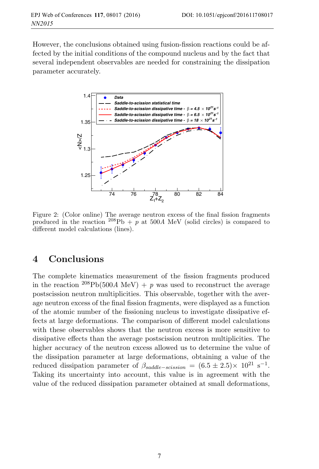However, the conclusions obtained using fusion-fission reactions could be affected by the initial conditions of the compound nucleus and by the fact that several independent observables are needed for constraining the dissipation parameter accurately.



Figure 2: (Color online) The average neutron excess of the final fission fragments produced in the reaction  $^{208}Pb + p$  at 500A MeV (solid circles) is compared to different model calculations (lines).

#### **4 Conclusions**

The complete kinematics measurement of the fission fragments produced in the reaction <sup>208</sup>Pb(500A MeV) + p was used to reconstruct the average postscission neutron multiplicities. This observable, together with the average neutron excess of the final fission fragments, were displayed as a function of the atomic number of the fissioning nucleus to investigate dissipative effects at large deformations. The comparison of different model calculations with these observables shows that the neutron excess is more sensitive to dissipative effects than the average postscission neutron multiplicities. The higher accuracy of the neutron excess allowed us to determine the value of the dissipation parameter at large deformations, obtaining a value of the reduced dissipation parameter of  $\beta_{saddle-scission} = (6.5 \pm 2.5) \times 10^{21} \text{ s}^{-1}$ . Taking its uncertainty into account, this value is in agreement with the value of the reduced dissipation parameter obtained at small deformations,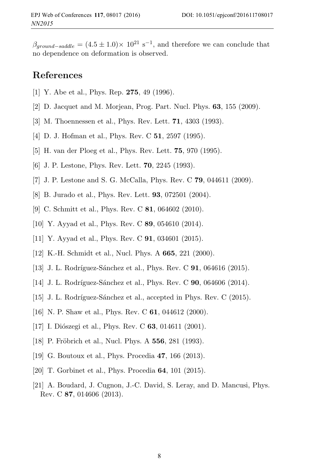$\beta_{around-saddle} = (4.5 \pm 1.0) \times 10^{21} \text{ s}^{-1}$ , and therefore we can conclude that no dependence on deformation is observed.

### **References**

- [1] Y. Abe et al., Phys. Rep. **275**, 49 (1996).
- [2] D. Jacquet and M. Morjean, Prog. Part. Nucl. Phys. **63**, 155 (2009).
- [3] M. Thoennessen et al., Phys. Rev. Lett. **71**, 4303 (1993).
- [4] D. J. Hofman et al., Phys. Rev. C **51**, 2597 (1995).
- [5] H. van der Ploeg et al., Phys. Rev. Lett. **75**, 970 (1995).
- [6] J. P. Lestone, Phys. Rev. Lett. **70**, 2245 (1993).
- [7] J. P. Lestone and S. G. McCalla, Phys. Rev. C **79**, 044611 (2009).
- [8] B. Jurado et al., Phys. Rev. Lett. **93**, 072501 (2004).
- [9] C. Schmitt et al., Phys. Rev. C **81**, 064602 (2010).
- [10] Y. Ayyad et al., Phys. Rev. C **89**, 054610 (2014).
- [11] Y. Ayyad et al., Phys. Rev. C **91**, 034601 (2015).
- [12] K.-H. Schmidt et al., Nucl. Phys. A **665**, 221 (2000).
- [13] J. L. Rodríguez-Sánchez et al., Phys. Rev. C **91**, 064616 (2015).
- [14] J. L. Rodríguez-Sánchez et al., Phys. Rev. C **90**, 064606 (2014).
- [15] J. L. Rodríguez-Sánchez et al., accepted in Phys. Rev. C (2015).
- [16] N. P. Shaw et al., Phys. Rev. C **61**, 044612 (2000).
- [17] I. Diószegi et al., Phys. Rev. C **63**, 014611 (2001).
- [18] P. Fröbrich et al., Nucl. Phys. A **556**, 281 (1993).
- [19] G. Boutoux et al., Phys. Procedia **47**, 166 (2013).
- [20] T. Gorbinet et al., Phys. Procedia **64**, 101 (2015).
- [21] A. Boudard, J. Cugnon, J.-C. David, S. Leray, and D. Mancusi, Phys. Rev. C **87**, 014606 (2013).